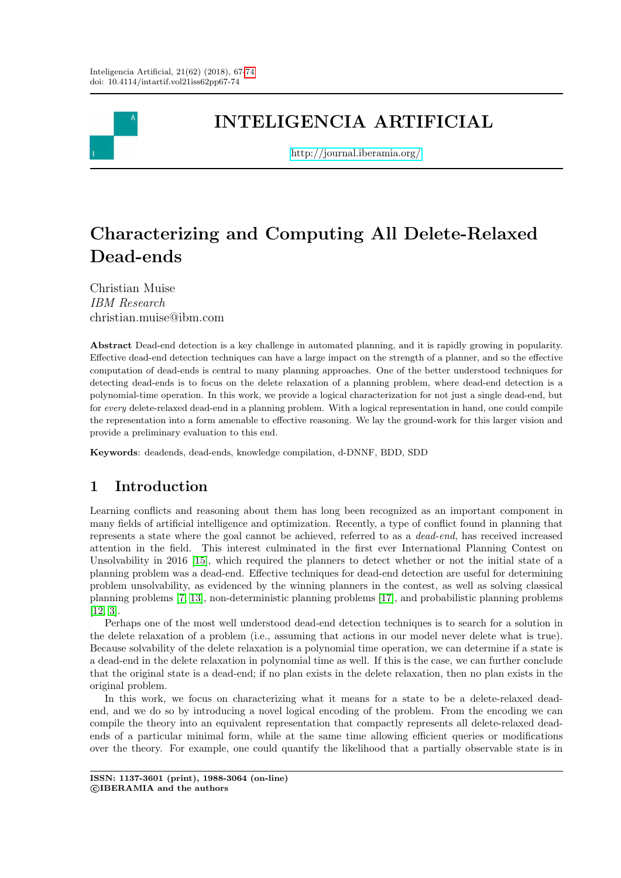

## INTELIGENCIA ARTIFICIAL

<http://journal.iberamia.org/>

# Characterizing and Computing All Delete-Relaxed Dead-ends

Christian Muise IBM Research christian.muise@ibm.com

Abstract Dead-end detection is a key challenge in automated planning, and it is rapidly growing in popularity. Effective dead-end detection techniques can have a large impact on the strength of a planner, and so the effective computation of dead-ends is central to many planning approaches. One of the better understood techniques for detecting dead-ends is to focus on the delete relaxation of a planning problem, where dead-end detection is a polynomial-time operation. In this work, we provide a logical characterization for not just a single dead-end, but for every delete-relaxed dead-end in a planning problem. With a logical representation in hand, one could compile the representation into a form amenable to effective reasoning. We lay the ground-work for this larger vision and provide a preliminary evaluation to this end.

Keywords: deadends, dead-ends, knowledge compilation, d-DNNF, BDD, SDD

## 1 Introduction

Learning conflicts and reasoning about them has long been recognized as an important component in many fields of artificial intelligence and optimization. Recently, a type of conflict found in planning that represents a state where the goal cannot be achieved, referred to as a dead-end, has received increased attention in the field. This interest culminated in the first ever International Planning Contest on Unsolvability in 2016 [\[15\]](#page-7-1), which required the planners to detect whether or not the initial state of a planning problem was a dead-end. Effective techniques for dead-end detection are useful for determining problem unsolvability, as evidenced by the winning planners in the contest, as well as solving classical planning problems [\[7,](#page-6-0) [13\]](#page-7-2), non-deterministic planning problems [\[17\]](#page-7-3), and probabilistic planning problems [\[12,](#page-7-4) [3\]](#page-6-1).

Perhaps one of the most well understood dead-end detection techniques is to search for a solution in the delete relaxation of a problem (i.e., assuming that actions in our model never delete what is true). Because solvability of the delete relaxation is a polynomial time operation, we can determine if a state is a dead-end in the delete relaxation in polynomial time as well. If this is the case, we can further conclude that the original state is a dead-end; if no plan exists in the delete relaxation, then no plan exists in the original problem.

In this work, we focus on characterizing what it means for a state to be a delete-relaxed deadend, and we do so by introducing a novel logical encoding of the problem. From the encoding we can compile the theory into an equivalent representation that compactly represents all delete-relaxed deadends of a particular minimal form, while at the same time allowing efficient queries or modifications over the theory. For example, one could quantify the likelihood that a partially observable state is in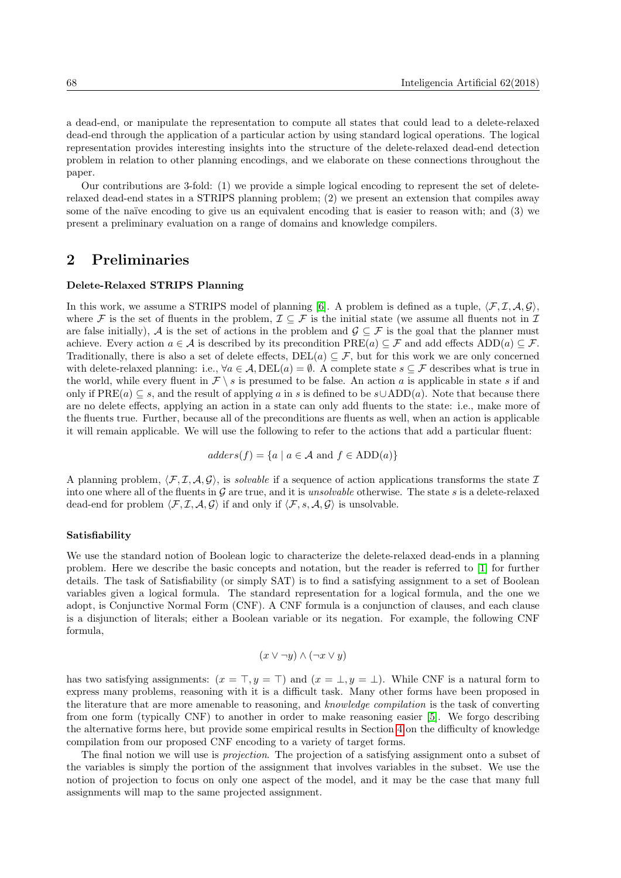a dead-end, or manipulate the representation to compute all states that could lead to a delete-relaxed dead-end through the application of a particular action by using standard logical operations. The logical representation provides interesting insights into the structure of the delete-relaxed dead-end detection problem in relation to other planning encodings, and we elaborate on these connections throughout the paper.

Our contributions are 3-fold: (1) we provide a simple logical encoding to represent the set of deleterelaxed dead-end states in a STRIPS planning problem; (2) we present an extension that compiles away some of the naïve encoding to give us an equivalent encoding that is easier to reason with; and (3) we present a preliminary evaluation on a range of domains and knowledge compilers.

### 2 Preliminaries

#### Delete-Relaxed STRIPS Planning

In this work, we assume a STRIPS model of planning [\[6\]](#page-6-2). A problem is defined as a tuple,  $\langle F, I, A, G \rangle$ . where F is the set of fluents in the problem,  $\mathcal{I} \subseteq \mathcal{F}$  is the initial state (we assume all fluents not in  $\mathcal{I}$ are false initially), A is the set of actions in the problem and  $\mathcal{G} \subseteq \mathcal{F}$  is the goal that the planner must achieve. Every action  $a \in \mathcal{A}$  is described by its precondition  $PRE(a) \subseteq \mathcal{F}$  and add effects ADD(a)  $\subseteq \mathcal{F}$ . Traditionally, there is also a set of delete effects,  $DEL(a) \subseteq \mathcal{F}$ , but for this work we are only concerned with delete-relaxed planning: i.e.,  $\forall a \in A$ ,  $DEL(a) = \emptyset$ . A complete state  $s \subseteq \mathcal{F}$  describes what is true in the world, while every fluent in  $\mathcal{F} \setminus s$  is presumed to be false. An action a is applicable in state s if and only if  $PRE(a) \subseteq s$ , and the result of applying a in s is defined to be  $s \cup ADD(a)$ . Note that because there are no delete effects, applying an action in a state can only add fluents to the state: i.e., make more of the fluents true. Further, because all of the preconditions are fluents as well, when an action is applicable it will remain applicable. We will use the following to refer to the actions that add a particular fluent:

$$
address(f) = \{a \mid a \in \mathcal{A} \text{ and } f \in ADD(a)\}\
$$

A planning problem,  $\langle \mathcal{F}, \mathcal{I}, \mathcal{A}, \mathcal{G} \rangle$ , is solvable if a sequence of action applications transforms the state I into one where all of the fluents in  $G$  are true, and it is *unsolvable* otherwise. The state s is a delete-relaxed dead-end for problem  $\langle \mathcal{F}, \mathcal{I}, \mathcal{A}, \mathcal{G} \rangle$  if and only if  $\langle \mathcal{F}, s, \mathcal{A}, \mathcal{G} \rangle$  is unsolvable.

#### Satisfiability

We use the standard notion of Boolean logic to characterize the delete-relaxed dead-ends in a planning problem. Here we describe the basic concepts and notation, but the reader is referred to [\[1\]](#page-6-3) for further details. The task of Satisfiability (or simply SAT) is to find a satisfying assignment to a set of Boolean variables given a logical formula. The standard representation for a logical formula, and the one we adopt, is Conjunctive Normal Form (CNF). A CNF formula is a conjunction of clauses, and each clause is a disjunction of literals; either a Boolean variable or its negation. For example, the following CNF formula,

$$
(x \vee \neg y) \wedge (\neg x \vee y)
$$

has two satisfying assignments:  $(x = \top, y = \top)$  and  $(x = \bot, y = \bot)$ . While CNF is a natural form to express many problems, reasoning with it is a difficult task. Many other forms have been proposed in the literature that are more amenable to reasoning, and knowledge compilation is the task of converting from one form (typically CNF) to another in order to make reasoning easier [\[5\]](#page-6-4). We forgo describing the alternative forms here, but provide some empirical results in Section [4](#page-5-0) on the difficulty of knowledge compilation from our proposed CNF encoding to a variety of target forms.

The final notion we will use is *projection*. The projection of a satisfying assignment onto a subset of the variables is simply the portion of the assignment that involves variables in the subset. We use the notion of projection to focus on only one aspect of the model, and it may be the case that many full assignments will map to the same projected assignment.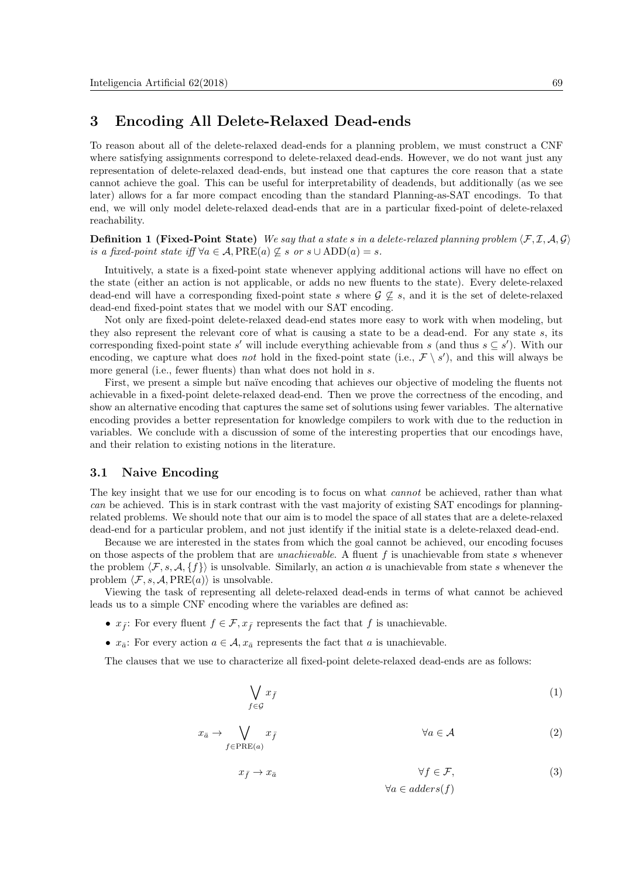## <span id="page-2-0"></span>3 Encoding All Delete-Relaxed Dead-ends

To reason about all of the delete-relaxed dead-ends for a planning problem, we must construct a CNF where satisfying assignments correspond to delete-relaxed dead-ends. However, we do not want just any representation of delete-relaxed dead-ends, but instead one that captures the core reason that a state cannot achieve the goal. This can be useful for interpretability of deadends, but additionally (as we see later) allows for a far more compact encoding than the standard Planning-as-SAT encodings. To that end, we will only model delete-relaxed dead-ends that are in a particular fixed-point of delete-relaxed reachability.

**Definition 1 (Fixed-Point State)** We say that a state s in a delete-relaxed planning problem  $\langle \mathcal{F}, \mathcal{I}, \mathcal{A}, \mathcal{G} \rangle$ is a fixed-point state iff  $\forall a \in \mathcal{A}$ ,  $PRE(a) \nsubseteq s$  or  $s \cup ADD(a) = s$ .

Intuitively, a state is a fixed-point state whenever applying additional actions will have no effect on the state (either an action is not applicable, or adds no new fluents to the state). Every delete-relaxed dead-end will have a corresponding fixed-point state s where  $\mathcal{G} \not\subseteq s$ , and it is the set of delete-relaxed dead-end fixed-point states that we model with our SAT encoding.

Not only are fixed-point delete-relaxed dead-end states more easy to work with when modeling, but they also represent the relevant core of what is causing a state to be a dead-end. For any state s, its corresponding fixed-point state s' will include everything achievable from s (and thus  $s \subseteq s'$ ). With our encoding, we capture what does not hold in the fixed-point state (i.e.,  $\mathcal{F} \setminus s'$ ), and this will always be more general (i.e., fewer fluents) than what does not hold in s.

First, we present a simple but naïve encoding that achieves our objective of modeling the fluents not achievable in a fixed-point delete-relaxed dead-end. Then we prove the correctness of the encoding, and show an alternative encoding that captures the same set of solutions using fewer variables. The alternative encoding provides a better representation for knowledge compilers to work with due to the reduction in variables. We conclude with a discussion of some of the interesting properties that our encodings have, and their relation to existing notions in the literature.

#### 3.1 Naive Encoding

The key insight that we use for our encoding is to focus on what *cannot* be achieved, rather than what can be achieved. This is in stark contrast with the vast majority of existing SAT encodings for planningrelated problems. We should note that our aim is to model the space of all states that are a delete-relaxed dead-end for a particular problem, and not just identify if the initial state is a delete-relaxed dead-end.

Because we are interested in the states from which the goal cannot be achieved, our encoding focuses on those aspects of the problem that are *unachievable*. A fluent f is unachievable from state s whenever the problem  $\langle \mathcal{F}, s, \mathcal{A}, \{f\} \rangle$  is unsolvable. Similarly, an action a is unachievable from state s whenever the problem  $\langle \mathcal{F}, s, \mathcal{A}, \text{PRE}(a) \rangle$  is unsolvable.

Viewing the task of representing all delete-relaxed dead-ends in terms of what cannot be achieved leads us to a simple CNF encoding where the variables are defined as:

- $x_{\bar{f}}$ : For every fluent  $f \in \mathcal{F}, x_{\bar{f}}$  represents the fact that f is unachievable.
- $x_{\bar{a}}$ : For every action  $a \in \mathcal{A}$ ,  $x_{\bar{a}}$  represents the fact that a is unachievable.

The clauses that we use to characterize all fixed-point delete-relaxed dead-ends are as follows:

$$
\bigvee_{f \in \mathcal{G}} x_{\bar{f}} \tag{1}
$$

$$
x_{\bar{a}} \to \bigvee_{f \in \text{PRE}(a)} x_{\bar{f}} \qquad \forall a \in \mathcal{A} \tag{2}
$$

$$
x_{\bar{f}} \to x_{\bar{a}} \qquad \qquad \forall f \in \mathcal{F}, \qquad (3)
$$

$$
\forall a \in address(f)
$$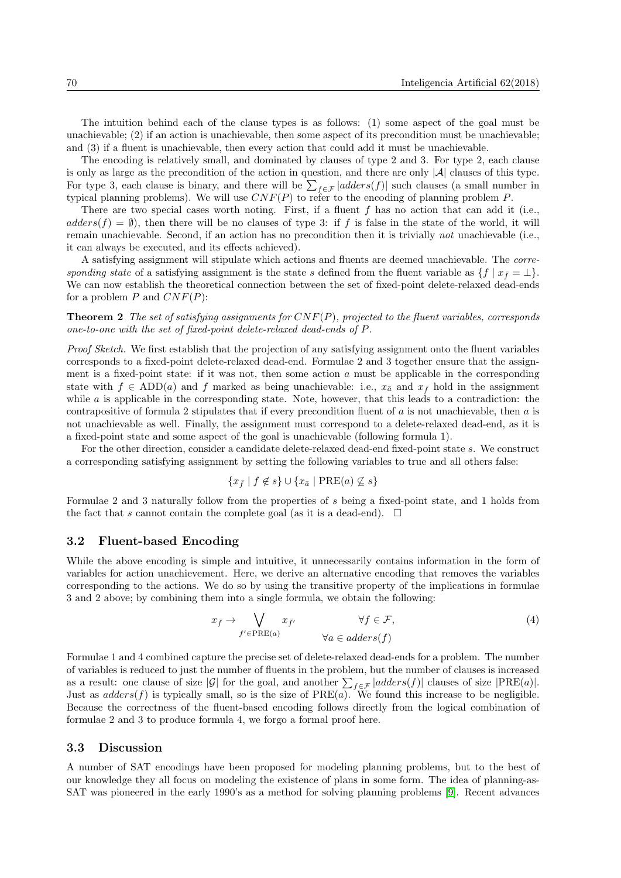The intuition behind each of the clause types is as follows: (1) some aspect of the goal must be unachievable; (2) if an action is unachievable, then some aspect of its precondition must be unachievable; and (3) if a fluent is unachievable, then every action that could add it must be unachievable.

The encoding is relatively small, and dominated by clauses of type 2 and 3. For type 2, each clause is only as large as the precondition of the action in question, and there are only  $|\mathcal{A}|$  clauses of this type. For type 3, each clause is binary, and there will be  $\sum_{f \in \mathcal{F}} |address(f)|$  such clauses (a small number in typical planning problems). We will use  $CNF(P)$  to refer to the encoding of planning problem P.

There are two special cases worth noting. First, if a fluent  $f$  has no action that can add it (i.e.,  $address(f) = \emptyset$ , then there will be no clauses of type 3: if f is false in the state of the world, it will remain unachievable. Second, if an action has no precondition then it is trivially not unachievable (i.e., it can always be executed, and its effects achieved).

A satisfying assignment will stipulate which actions and fluents are deemed unachievable. The corresponding state of a satisfying assignment is the state s defined from the fluent variable as  $\{f \mid x_f = \perp\}$ . We can now establish the theoretical connection between the set of fixed-point delete-relaxed dead-ends for a problem  $P$  and  $CNF(P)$ :

**Theorem 2** The set of satisfying assignments for  $CNF(P)$ , projected to the fluent variables, corresponds one-to-one with the set of fixed-point delete-relaxed dead-ends of P.

Proof Sketch. We first establish that the projection of any satisfying assignment onto the fluent variables corresponds to a fixed-point delete-relaxed dead-end. Formulae 2 and 3 together ensure that the assignment is a fixed-point state: if it was not, then some action  $a$  must be applicable in the corresponding state with  $f \in ADD(a)$  and f marked as being unachievable: i.e.,  $x_{\bar{a}}$  and  $x_{\bar{f}}$  hold in the assignment while a is applicable in the corresponding state. Note, however, that this leads to a contradiction: the contrapositive of formula 2 stipulates that if every precondition fluent of  $a$  is not unachievable, then  $a$  is not unachievable as well. Finally, the assignment must correspond to a delete-relaxed dead-end, as it is a fixed-point state and some aspect of the goal is unachievable (following formula 1).

For the other direction, consider a candidate delete-relaxed dead-end fixed-point state s. We construct a corresponding satisfying assignment by setting the following variables to true and all others false:

$$
\{x_{\bar{f}} \mid f \notin s\} \cup \{x_{\bar{a}} \mid \text{PRE}(a) \not\subseteq s\}
$$

Formulae 2 and 3 naturally follow from the properties of s being a fixed-point state, and 1 holds from the fact that s cannot contain the complete goal (as it is a dead-end).  $\Box$ 

#### 3.2 Fluent-based Encoding

While the above encoding is simple and intuitive, it unnecessarily contains information in the form of variables for action unachievement. Here, we derive an alternative encoding that removes the variables corresponding to the actions. We do so by using the transitive property of the implications in formulae 3 and 2 above; by combining them into a single formula, we obtain the following:

$$
x_{\bar{f}} \to \bigvee_{f' \in \text{PRE}(a)} x_{\bar{f}'} \qquad \forall f \in \mathcal{F},
$$
  
\n
$$
\forall a \in address(f)
$$
 (4)

Formulae 1 and 4 combined capture the precise set of delete-relaxed dead-ends for a problem. The number of variables is reduced to just the number of fluents in the problem, but the number of clauses is increased as a result: one clause of size |G| for the goal, and another  $\sum_{f \in \mathcal{F}} |address(f)|$  clauses of size  $|PRE(a)|$ . Just as  $address(f)$  is typically small, so is the size of  $PRE(a)$ . We found this increase to be negligible. Because the correctness of the fluent-based encoding follows directly from the logical combination of formulae 2 and 3 to produce formula 4, we forgo a formal proof here.

#### 3.3 Discussion

A number of SAT encodings have been proposed for modeling planning problems, but to the best of our knowledge they all focus on modeling the existence of plans in some form. The idea of planning-as-SAT was pioneered in the early 1990's as a method for solving planning problems [\[9\]](#page-6-5). Recent advances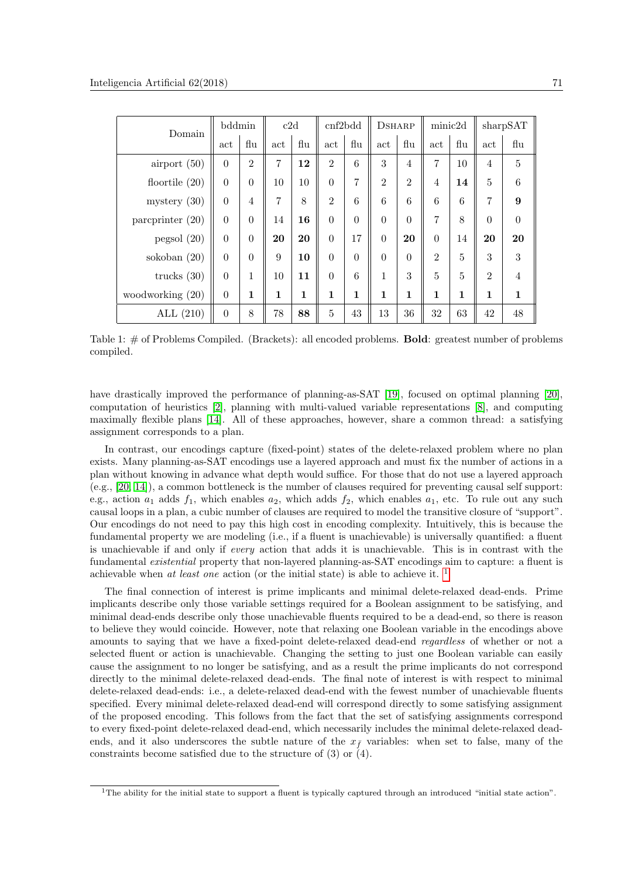| Domain             | bddmin       |                | c2d            |     | cnf2bdd        |                | <b>DSHARP</b>  |                | minic2d        |             | sharpSAT       |                |
|--------------------|--------------|----------------|----------------|-----|----------------|----------------|----------------|----------------|----------------|-------------|----------------|----------------|
|                    | $_{\rm act}$ | flu            | act            | flu | act            | flu            | act            | flu            | act            | flu         | act            | flu            |
| airport $(50)$     | $\theta$     | $\overline{2}$ | $\overline{7}$ | 12  | $\overline{2}$ | 6              | 3              | $\overline{4}$ | $\overline{7}$ | 10          | $\overline{4}$ | $\overline{5}$ |
| floortile $(20)$   | $\theta$     | $\theta$       | 10             | 10  | $\overline{0}$ | $\overline{7}$ | $\overline{2}$ | $\overline{2}$ | 4              | 14          | $\overline{5}$ | 6              |
| mystery $(30)$     | $\theta$     | $\overline{4}$ | $\overline{7}$ | 8   | $\overline{2}$ | 6              | 6              | 6              | 6              | 6           | 7              | 9              |
| parcprinter $(20)$ | $\theta$     | $\theta$       | 14             | 16  | $\theta$       | $\theta$       | $\Omega$       | $\theta$       | 7              | 8           | $\theta$       | $\overline{0}$ |
| pegsol(20)         | $\theta$     | $\theta$       | 20             | 20  | $\theta$       | 17             | $\theta$       | 20             | $\Omega$       | 14          | 20             | 20             |
| sokoban $(20)$     | $\theta$     | $\theta$       | 9              | 10  | $\Omega$       | $\theta$       | $\theta$       | $\theta$       | $\overline{2}$ | 5           | 3              | 3              |
| trucks $(30)$      | $\theta$     | $\mathbf{1}$   | 10             | 11  | $\theta$       | 6              | 1              | 3              | $\overline{5}$ | 5           | $\overline{2}$ | $\overline{4}$ |
| woodworking (20)   | $\theta$     | 1              | 1              | 1   | $\mathbf 1$    | $\mathbf{1}$   | 1              | $\mathbf 1$    | 1              | $\mathbf 1$ | 1              | $\mathbf{1}$   |
| ALL $(210)$        | $\theta$     | 8              | 78             | 88  | $\overline{5}$ | 43             | 13             | 36             | 32             | 63          | 42             | 48             |

<span id="page-4-1"></span>Table 1: # of Problems Compiled. (Brackets): all encoded problems. Bold: greatest number of problems compiled.

have drastically improved the performance of planning-as-SAT [\[19\]](#page-7-5), focused on optimal planning [\[20\]](#page-7-6), computation of heuristics [\[2\]](#page-6-6), planning with multi-valued variable representations [\[8\]](#page-6-7), and computing maximally flexible plans [\[14\]](#page-7-7). All of these approaches, however, share a common thread: a satisfying assignment corresponds to a plan.

In contrast, our encodings capture (fixed-point) states of the delete-relaxed problem where no plan exists. Many planning-as-SAT encodings use a layered approach and must fix the number of actions in a plan without knowing in advance what depth would suffice. For those that do not use a layered approach (e.g., [\[20,](#page-7-6) [14\]](#page-7-7)), a common bottleneck is the number of clauses required for preventing causal self support: e.g., action  $a_1$  adds  $f_1$ , which enables  $a_2$ , which adds  $f_2$ , which enables  $a_1$ , etc. To rule out any such causal loops in a plan, a cubic number of clauses are required to model the transitive closure of "support". Our encodings do not need to pay this high cost in encoding complexity. Intuitively, this is because the fundamental property we are modeling (i.e., if a fluent is unachievable) is universally quantified: a fluent is unachievable if and only if every action that adds it is unachievable. This is in contrast with the fundamental existential property that non-layered planning-as-SAT encodings aim to capture: a fluent is achievable when at least one action (or the initial state) is able to achieve it.  $<sup>1</sup>$  $<sup>1</sup>$  $<sup>1</sup>$ </sup>

The final connection of interest is prime implicants and minimal delete-relaxed dead-ends. Prime implicants describe only those variable settings required for a Boolean assignment to be satisfying, and minimal dead-ends describe only those unachievable fluents required to be a dead-end, so there is reason to believe they would coincide. However, note that relaxing one Boolean variable in the encodings above amounts to saying that we have a fixed-point delete-relaxed dead-end regardless of whether or not a selected fluent or action is unachievable. Changing the setting to just one Boolean variable can easily cause the assignment to no longer be satisfying, and as a result the prime implicants do not correspond directly to the minimal delete-relaxed dead-ends. The final note of interest is with respect to minimal delete-relaxed dead-ends: i.e., a delete-relaxed dead-end with the fewest number of unachievable fluents specified. Every minimal delete-relaxed dead-end will correspond directly to some satisfying assignment of the proposed encoding. This follows from the fact that the set of satisfying assignments correspond to every fixed-point delete-relaxed dead-end, which necessarily includes the minimal delete-relaxed deadends, and it also underscores the subtle nature of the  $x<sub>f</sub>$  variables: when set to false, many of the constraints become satisfied due to the structure of (3) or (4).

<span id="page-4-0"></span><sup>&</sup>lt;sup>1</sup>The ability for the initial state to support a fluent is typically captured through an introduced "initial state action".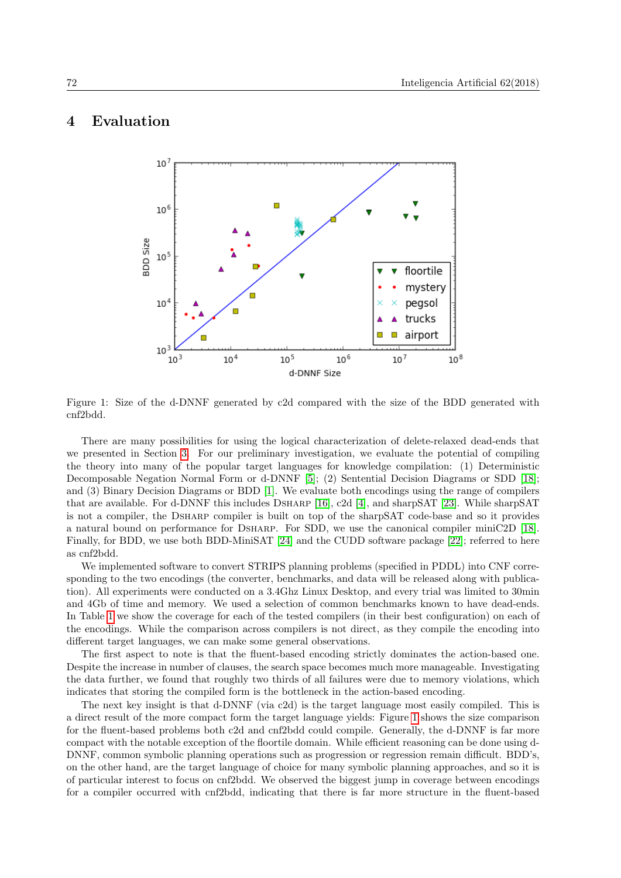## <span id="page-5-0"></span>4 Evaluation



<span id="page-5-1"></span>Figure 1: Size of the d-DNNF generated by c2d compared with the size of the BDD generated with cnf2bdd.

There are many possibilities for using the logical characterization of delete-relaxed dead-ends that we presented in Section [3.](#page-2-0) For our preliminary investigation, we evaluate the potential of compiling the theory into many of the popular target languages for knowledge compilation: (1) Deterministic Decomposable Negation Normal Form or d-DNNF [\[5\]](#page-6-4); (2) Sentential Decision Diagrams or SDD [\[18\]](#page-7-8); and (3) Binary Decision Diagrams or BDD [\[1\]](#page-6-3). We evaluate both encodings using the range of compilers that are available. For d-DNNF this includes Dsharp [\[16\]](#page-7-9), c2d [\[4\]](#page-6-8), and sharpSAT [\[23\]](#page-7-10). While sharpSAT is not a compiler, the Dsharp compiler is built on top of the sharpSAT code-base and so it provides a natural bound on performance for Dsharp. For SDD, we use the canonical compiler miniC2D [\[18\]](#page-7-8). Finally, for BDD, we use both BDD-MiniSAT [\[24\]](#page-7-11) and the CUDD software package [\[22\]](#page-7-12); referred to here as cnf2bdd.

We implemented software to convert STRIPS planning problems (specified in PDDL) into CNF corresponding to the two encodings (the converter, benchmarks, and data will be released along with publication). All experiments were conducted on a 3.4Ghz Linux Desktop, and every trial was limited to 30min and 4Gb of time and memory. We used a selection of common benchmarks known to have dead-ends. In Table [1](#page-4-1) we show the coverage for each of the tested compilers (in their best configuration) on each of the encodings. While the comparison across compilers is not direct, as they compile the encoding into different target languages, we can make some general observations.

The first aspect to note is that the fluent-based encoding strictly dominates the action-based one. Despite the increase in number of clauses, the search space becomes much more manageable. Investigating the data further, we found that roughly two thirds of all failures were due to memory violations, which indicates that storing the compiled form is the bottleneck in the action-based encoding.

The next key insight is that d-DNNF (via c2d) is the target language most easily compiled. This is a direct result of the more compact form the target language yields: Figure [1](#page-5-1) shows the size comparison for the fluent-based problems both c2d and cnf2bdd could compile. Generally, the d-DNNF is far more compact with the notable exception of the floortile domain. While efficient reasoning can be done using d-DNNF, common symbolic planning operations such as progression or regression remain difficult. BDD's, on the other hand, are the target language of choice for many symbolic planning approaches, and so it is of particular interest to focus on cnf2bdd. We observed the biggest jump in coverage between encodings for a compiler occurred with cnf2bdd, indicating that there is far more structure in the fluent-based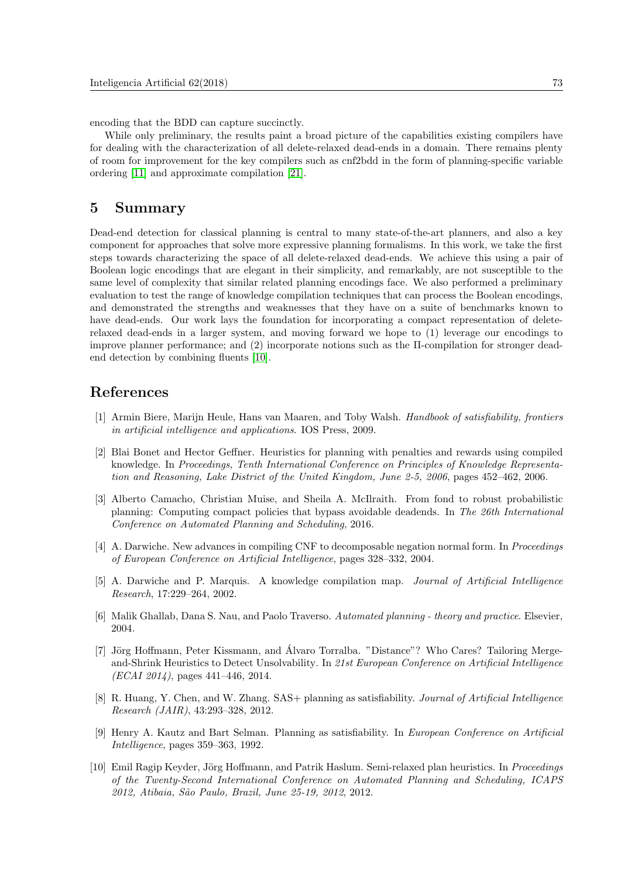encoding that the BDD can capture succinctly.

While only preliminary, the results paint a broad picture of the capabilities existing compilers have for dealing with the characterization of all delete-relaxed dead-ends in a domain. There remains plenty of room for improvement for the key compilers such as cnf2bdd in the form of planning-specific variable ordering [\[11\]](#page-7-13) and approximate compilation [\[21\]](#page-7-14).

### 5 Summary

Dead-end detection for classical planning is central to many state-of-the-art planners, and also a key component for approaches that solve more expressive planning formalisms. In this work, we take the first steps towards characterizing the space of all delete-relaxed dead-ends. We achieve this using a pair of Boolean logic encodings that are elegant in their simplicity, and remarkably, are not susceptible to the same level of complexity that similar related planning encodings face. We also performed a preliminary evaluation to test the range of knowledge compilation techniques that can process the Boolean encodings, and demonstrated the strengths and weaknesses that they have on a suite of benchmarks known to have dead-ends. Our work lays the foundation for incorporating a compact representation of deleterelaxed dead-ends in a larger system, and moving forward we hope to (1) leverage our encodings to improve planner performance; and (2) incorporate notions such as the Π-compilation for stronger deadend detection by combining fluents [\[10\]](#page-6-9).

## References

- <span id="page-6-3"></span>[1] Armin Biere, Marijn Heule, Hans van Maaren, and Toby Walsh. Handbook of satisfiability, frontiers in artificial intelligence and applications. IOS Press, 2009.
- <span id="page-6-6"></span>[2] Blai Bonet and Hector Geffner. Heuristics for planning with penalties and rewards using compiled knowledge. In Proceedings, Tenth International Conference on Principles of Knowledge Representation and Reasoning, Lake District of the United Kingdom, June 2-5, 2006, pages 452–462, 2006.
- <span id="page-6-1"></span>[3] Alberto Camacho, Christian Muise, and Sheila A. McIlraith. From fond to robust probabilistic planning: Computing compact policies that bypass avoidable deadends. In The 26th International Conference on Automated Planning and Scheduling, 2016.
- <span id="page-6-8"></span>[4] A. Darwiche. New advances in compiling CNF to decomposable negation normal form. In Proceedings of European Conference on Artificial Intelligence, pages 328–332, 2004.
- <span id="page-6-4"></span>[5] A. Darwiche and P. Marquis. A knowledge compilation map. Journal of Artificial Intelligence Research, 17:229–264, 2002.
- <span id="page-6-2"></span>[6] Malik Ghallab, Dana S. Nau, and Paolo Traverso. Automated planning - theory and practice. Elsevier, 2004.
- <span id="page-6-0"></span>[7] Jörg Hoffmann, Peter Kissmann, and Álvaro Torralba. "Distance"? Who Cares? Tailoring Mergeand-Shrink Heuristics to Detect Unsolvability. In 21st European Conference on Artificial Intelligence  $(ECAI 2014)$ , pages 441–446, 2014.
- <span id="page-6-7"></span>[8] R. Huang, Y. Chen, and W. Zhang. SAS+ planning as satisfiability. Journal of Artificial Intelligence Research (JAIR), 43:293–328, 2012.
- <span id="page-6-5"></span>[9] Henry A. Kautz and Bart Selman. Planning as satisfiability. In European Conference on Artificial Intelligence, pages 359–363, 1992.
- <span id="page-6-9"></span>[10] Emil Ragip Keyder, Jörg Hoffmann, and Patrik Haslum. Semi-relaxed plan heuristics. In Proceedings of the Twenty-Second International Conference on Automated Planning and Scheduling, ICAPS 2012, Atibaia, S˜ao Paulo, Brazil, June 25-19, 2012, 2012.